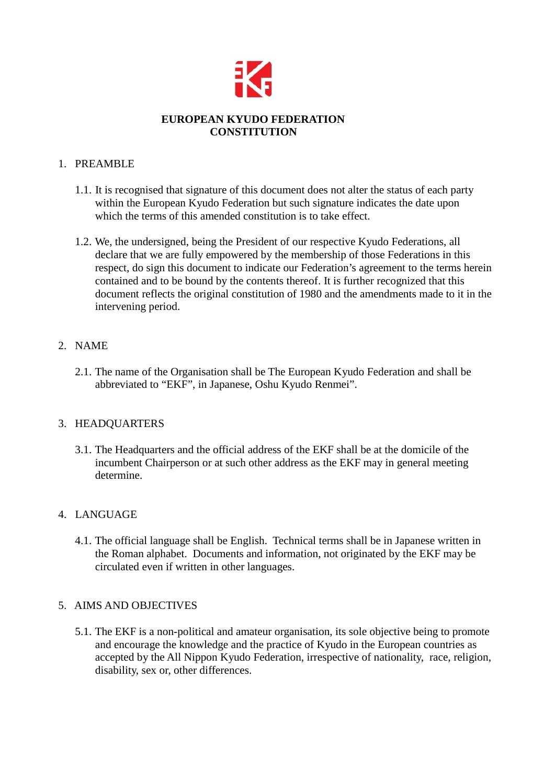

## **EUROPEAN KYUDO FEDERATION CONSTITUTION**

## 1. PREAMBLE

- 1.1. It is recognised that signature of this document does not alter the status of each party within the European Kyudo Federation but such signature indicates the date upon which the terms of this amended constitution is to take effect.
- 1.2. We, the undersigned, being the President of our respective Kyudo Federations, all declare that we are fully empowered by the membership of those Federations in this respect, do sign this document to indicate our Federation's agreement to the terms herein contained and to be bound by the contents thereof. It is further recognized that this document reflects the original constitution of 1980 and the amendments made to it in the intervening period.

## 2. NAME

2.1. The name of the Organisation shall be The European Kyudo Federation and shall be abbreviated to "EKF", in Japanese, Oshu Kyudo Renmei".

## 3. HEADQUARTERS

3.1. The Headquarters and the official address of the EKF shall be at the domicile of the incumbent Chairperson or at such other address as the EKF may in general meeting determine.

# 4. LANGUAGE

4.1. The official language shall be English. Technical terms shall be in Japanese written in the Roman alphabet. Documents and information, not originated by the EKF may be circulated even if written in other languages.

## 5. AIMS AND OBJECTIVES

5.1. The EKF is a non-political and amateur organisation, its sole objective being to promote and encourage the knowledge and the practice of Kyudo in the European countries as accepted by the All Nippon Kyudo Federation, irrespective of nationality, race, religion, disability, sex or, other differences.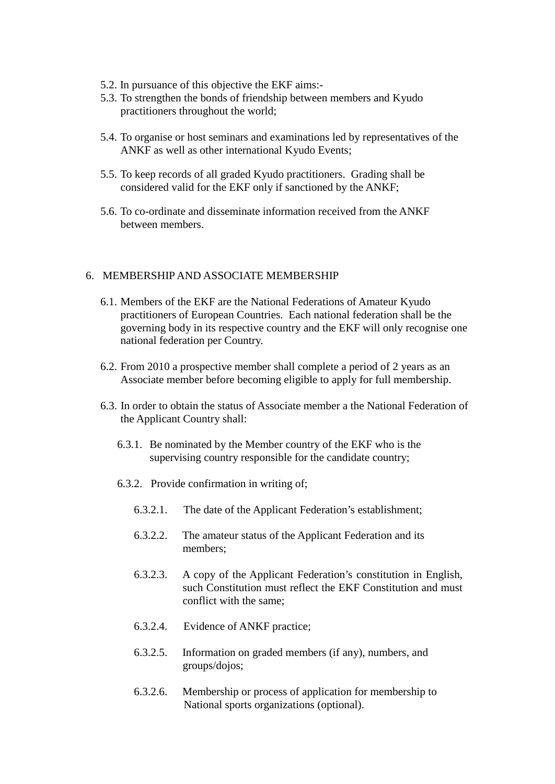- 5.2. In pursuance of this objective the EKF aims:-
- 5.3. To strengthen the bonds of friendship between members and Kyudo practitioners throughout the world;
- 5.4. To organise or host seminars and examinations led by representatives of the ANKF as well as other international Kyudo Events;
- 5.5. To keep records of all graded Kyudo practitioners. Grading shall be considered valid for the EKF only if sanctioned by the ANKF;
- 5.6. To co-ordinate and disseminate information received from the ANKF between members.

#### 6. MEMBERSHIP AND ASSOCIATE MEMBERSHIP

- 6.1. Members of the EKF are the National Federations of Amateur Kyudo practitioners of European Countries. Each national federation shall be the governing body in its respective country and the EKF will only recognise one national federation per Country.
- 6.2. From 2010 a prospective member shall complete a period of 2 years as an Associate member before becoming eligible to apply for full membership.
- 6.3. In order to obtain the status of Associate member a the National Federation of the Applicant Country shall:
	- 6.3.1. Be nominated by the Member country of the EKF who is the supervising country responsible for the candidate country;
	- 6.3.2. Provide confirmation in writing of;
		- 6.3.2.1. The date of the Applicant Federation's establishment;
		- 6.3.2.2. The amateur status of the Applicant Federation and its members;
		- 6.3.2.3. A copy of the Applicant Federation's constitution in English, such Constitution must reflect the EKF Constitution and must conflict with the same;
		- 6.3.2.4. Evidence of ANKF practice;
		- 6.3.2.5. Information on graded members (if any), numbers, and groups/dojos;
		- 6.3.2.6. Membership or process of application for membership to National sports organizations (optional).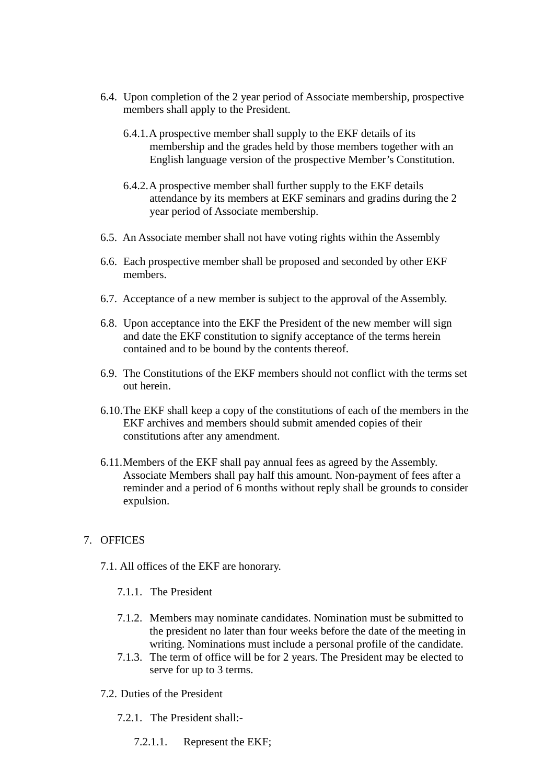- 6.4. Upon completion of the 2 year period of Associate membership, prospective members shall apply to the President.
	- 6.4.1.A prospective member shall supply to the EKF details of its membership and the grades held by those members together with an English language version of the prospective Member's Constitution.
	- 6.4.2.A prospective member shall further supply to the EKF details attendance by its members at EKF seminars and gradins during the 2 year period of Associate membership.
- 6.5. An Associate member shall not have voting rights within the Assembly
- 6.6. Each prospective member shall be proposed and seconded by other EKF members.
- 6.7. Acceptance of a new member is subject to the approval of the Assembly.
- 6.8. Upon acceptance into the EKF the President of the new member will sign and date the EKF constitution to signify acceptance of the terms herein contained and to be bound by the contents thereof.
- 6.9. The Constitutions of the EKF members should not conflict with the terms set out herein.
- 6.10.The EKF shall keep a copy of the constitutions of each of the members in the EKF archives and members should submit amended copies of their constitutions after any amendment.
- 6.11.Members of the EKF shall pay annual fees as agreed by the Assembly. Associate Members shall pay half this amount. Non-payment of fees after a reminder and a period of 6 months without reply shall be grounds to consider expulsion.

#### 7. OFFICES

- 7.1. All offices of the EKF are honorary.
	- 7.1.1. The President
	- 7.1.2. Members may nominate candidates. Nomination must be submitted to the president no later than four weeks before the date of the meeting in writing. Nominations must include a personal profile of the candidate.
	- 7.1.3. The term of office will be for 2 years. The President may be elected to serve for up to 3 terms.
- 7.2. Duties of the President
	- 7.2.1. The President shall:-
		- 7.2.1.1. Represent the EKF;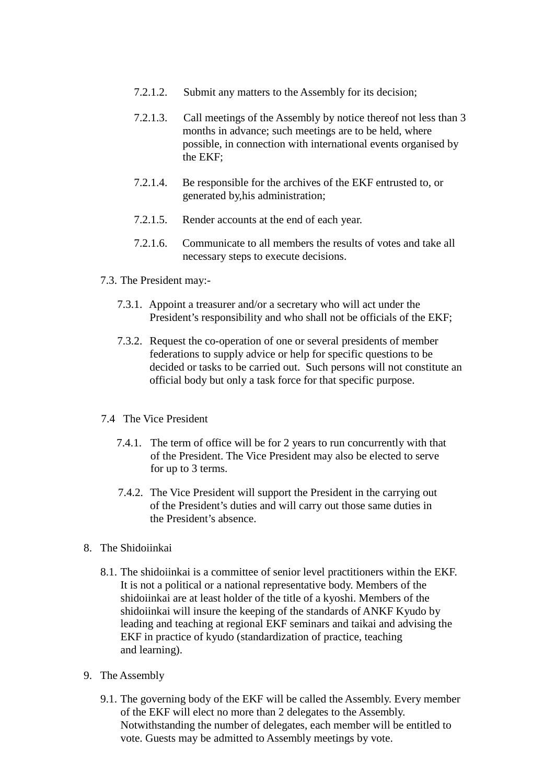- 7.2.1.2. Submit any matters to the Assembly for its decision;
- 7.2.1.3. Call meetings of the Assembly by notice thereof not less than 3 months in advance; such meetings are to be held, where possible, in connection with international events organised by the EKF;
- 7.2.1.4. Be responsible for the archives of the EKF entrusted to, or generated by,his administration;
- 7.2.1.5. Render accounts at the end of each year.
- 7.2.1.6. Communicate to all members the results of votes and take all necessary steps to execute decisions.
- 7.3. The President may:-
	- 7.3.1. Appoint a treasurer and/or a secretary who will act under the President's responsibility and who shall not be officials of the EKF;
	- 7.3.2. Request the co-operation of one or several presidents of member federations to supply advice or help for specific questions to be decided or tasks to be carried out. Such persons will not constitute an official body but only a task force for that specific purpose.
- 7.4 The Vice President
	- 7.4.1. The term of office will be for 2 years to run concurrently with that of the President. The Vice President may also be elected to serve for up to 3 terms.
	- 7.4.2. The Vice President will support the President in the carrying out of the President's duties and will carry out those same duties in the President's absence.
- 8. The Shidoiinkai
	- 8.1. The shidoiinkai is a committee of senior level practitioners within the EKF. It is not a political or a national representative body. Members of the shidoiinkai are at least holder of the title of a kyoshi. Members of the shidoiinkai will insure the keeping of the standards of ANKF Kyudo by leading and teaching at regional EKF seminars and taikai and advising the EKF in practice of kyudo (standardization of practice, teaching and learning).
- 9. The Assembly
	- 9.1. The governing body of the EKF will be called the Assembly. Every member of the EKF will elect no more than 2 delegates to the Assembly. Notwithstanding the number of delegates, each member will be entitled to vote. Guests may be admitted to Assembly meetings by vote.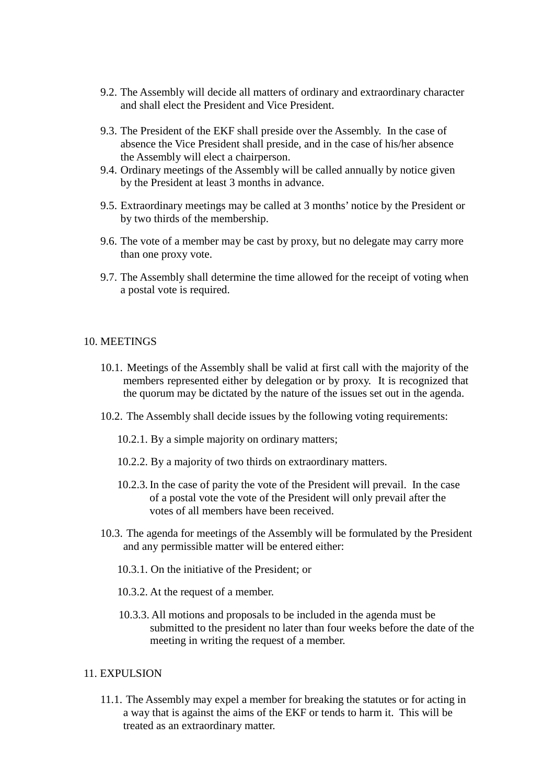- 9.2. The Assembly will decide all matters of ordinary and extraordinary character and shall elect the President and Vice President.
- 9.3. The President of the EKF shall preside over the Assembly. In the case of absence the Vice President shall preside, and in the case of his/her absence the Assembly will elect a chairperson.
- 9.4. Ordinary meetings of the Assembly will be called annually by notice given by the President at least 3 months in advance.
- 9.5. Extraordinary meetings may be called at 3 months' notice by the President or by two thirds of the membership.
- 9.6. The vote of a member may be cast by proxy, but no delegate may carry more than one proxy vote.
- 9.7. The Assembly shall determine the time allowed for the receipt of voting when a postal vote is required.

#### 10. MEETINGS

- 10.1. Meetings of the Assembly shall be valid at first call with the majority of the members represented either by delegation or by proxy. It is recognized that the quorum may be dictated by the nature of the issues set out in the agenda.
- 10.2. The Assembly shall decide issues by the following voting requirements:
	- 10.2.1. By a simple majority on ordinary matters;
	- 10.2.2. By a majority of two thirds on extraordinary matters.
	- 10.2.3. In the case of parity the vote of the President will prevail. In the case of a postal vote the vote of the President will only prevail after the votes of all members have been received.
- 10.3. The agenda for meetings of the Assembly will be formulated by the President and any permissible matter will be entered either:
	- 10.3.1. On the initiative of the President; or
	- 10.3.2. At the request of a member.
	- 10.3.3. All motions and proposals to be included in the agenda must be submitted to the president no later than four weeks before the date of the meeting in writing the request of a member.

#### 11. EXPULSION

11.1. The Assembly may expel a member for breaking the statutes or for acting in a way that is against the aims of the EKF or tends to harm it. This will be treated as an extraordinary matter.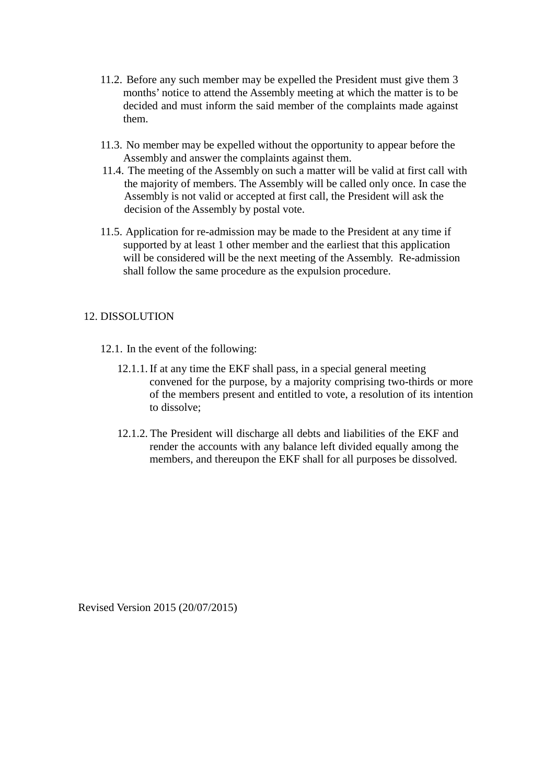- 11.2. Before any such member may be expelled the President must give them 3 months' notice to attend the Assembly meeting at which the matter is to be decided and must inform the said member of the complaints made against them.
- 11.3. No member may be expelled without the opportunity to appear before the Assembly and answer the complaints against them.
- 11.4. The meeting of the Assembly on such a matter will be valid at first call with the majority of members. The Assembly will be called only once. In case the Assembly is not valid or accepted at first call, the President will ask the decision of the Assembly by postal vote.
- 11.5. Application for re-admission may be made to the President at any time if supported by at least 1 other member and the earliest that this application will be considered will be the next meeting of the Assembly. Re-admission shall follow the same procedure as the expulsion procedure.

### 12. DISSOLUTION

- 12.1. In the event of the following:
	- 12.1.1. If at any time the EKF shall pass, in a special general meeting convened for the purpose, by a majority comprising two-thirds or more of the members present and entitled to vote, a resolution of its intention to dissolve;
	- 12.1.2. The President will discharge all debts and liabilities of the EKF and render the accounts with any balance left divided equally among the members, and thereupon the EKF shall for all purposes be dissolved.

Revised Version 2015 (20/07/2015)